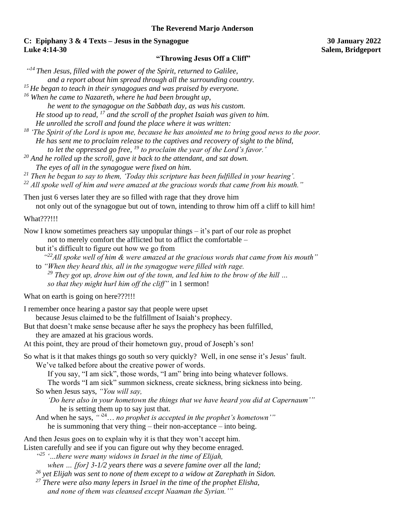### **The Reverend Marjo Anderson**

# **C: Epiphany 3 & 4 Texts – Jesus in the Synagogue 30 January 2022 Luke 4:14-30 Salem, Bridgeport**

## **"Throwing Jesus Off a Cliff"**

*" <sup>14</sup>Then Jesus, filled with the power of the Spirit, returned to Galilee,* 

*and a report about him spread through all the surrounding country.* 

*<sup>15</sup>He began to teach in their synagogues and was praised by everyone.* 

*<sup>16</sup> When he came to Nazareth, where he had been brought up,* 

*he went to the synagogue on the Sabbath day, as was his custom.* 

*He stood up to read, <sup>17</sup> and the scroll of the prophet Isaiah was given to him.* 

*He unrolled the scroll and found the place where it was written:*

*<sup>18</sup> 'The Spirit of the Lord is upon me, because he has anointed me to bring good news to the poor. He has sent me to proclaim release to the captives and recovery of sight to the blind, to let the oppressed go free, <sup>19</sup> to proclaim the year of the Lord's favor.'*

*<sup>20</sup> And he rolled up the scroll, gave it back to the attendant, and sat down. The eyes of all in the synagogue were fixed on him.* 

*<sup>21</sup> Then he began to say to them, 'Today this scripture has been fulfilled in your hearing'.*

*<sup>22</sup> All spoke well of him and were amazed at the gracious words that came from his mouth."* 

Then just 6 verses later they are so filled with rage that they drove him not only out of the synagogue but out of town, intending to throw him off a cliff to kill him!

What???!!!

Now I know sometimes preachers say unpopular things  $-$  it's part of our role as prophet not to merely comfort the afflicted but to afflict the comfortable –

- but it's difficult to figure out how we go from
- *" <sup>22</sup>All spoke well of him & were amazed at the gracious words that came from his mouth"*
- to *"When they heard this, all in the synagogue were filled with rage. <sup>29</sup> They got up, drove him out of the town, and led him to the brow of the hill … so that they might hurl him off the cliff"* in 1 sermon!

What on earth is going on here???!!!

I remember once hearing a pastor say that people were upset

because Jesus claimed to be the fulfillment of Isaiah's prophecy.

- But that doesn't make sense because after he says the prophecy has been fulfilled, they are amazed at his gracious words.
- At this point, they are proud of their hometown guy, proud of Joseph's son!

So what is it that makes things go south so very quickly? Well, in one sense it's Jesus' fault.

We've talked before about the creative power of words.

If you say, "I am sick", those words, "I am" bring into being whatever follows.

The words "I am sick" summon sickness, create sickness, bring sickness into being. So when Jesus says, *"You will say,* 

*'Do here also in your hometown the things that we have heard you did at Capernaum'"* he is setting them up to say just that.

And when he says,  $\cdot^{4.24} \dots$  *no prophet is accepted in the prophet's hometown'''* he is summoning that very thing – their non-acceptance – into being.

And then Jesus goes on to explain why it is that they won't accept him.

Listen carefully and see if you can figure out why they become enraged.

<sup>425</sup> '…there were many widows in Israel in the time of Elijah,

*when … [for] 3-1/2 years there was a severe famine over all the land;* 

*<sup>26</sup> yet Elijah was sent to none of them except to a widow at Zarephath in Sidon.* 

*<sup>27</sup> There were also many lepers in Israel in the time of the prophet Elisha, and none of them was cleansed except Naaman the Syrian.'"*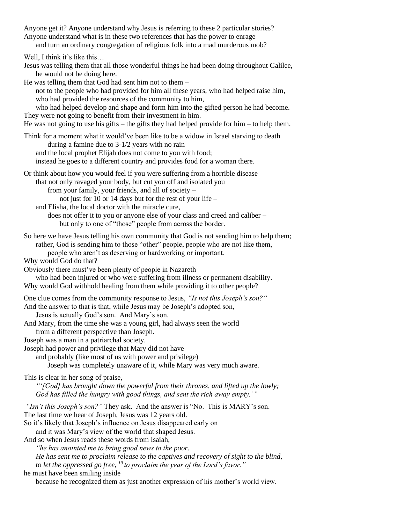Anyone get it? Anyone understand why Jesus is referring to these 2 particular stories? Anyone understand what is in these two references that has the power to enrage and turn an ordinary congregation of religious folk into a mad murderous mob?

Well, I think it's like this...

Jesus was telling them that all those wonderful things he had been doing throughout Galilee, he would not be doing here.

He was telling them that God had sent him not to them –

not to the people who had provided for him all these years, who had helped raise him, who had provided the resources of the community to him,

who had helped develop and shape and form him into the gifted person he had become. They were not going to benefit from their investment in him.

He was not going to use his gifts – the gifts they had helped provide for him – to help them.

Think for a moment what it would've been like to be a widow in Israel starving to death during a famine due to 3-1/2 years with no rain and the local prophet Elijah does not come to you with food;

instead he goes to a different country and provides food for a woman there.

Or think about how you would feel if you were suffering from a horrible disease that not only ravaged your body, but cut you off and isolated you from your family, your friends, and all of society – not just for 10 or 14 days but for the rest of your life –

and Elisha, the local doctor with the miracle cure, does not offer it to you or anyone else of your class and creed and caliber – but only to one of "those" people from across the border.

So here we have Jesus telling his own community that God is not sending him to help them; rather, God is sending him to those "other" people, people who are not like them, people who aren't as deserving or hardworking or important.

Why would God do that?

Obviously there must've been plenty of people in Nazareth

who had been injured or who were suffering from illness or permanent disability. Why would God withhold healing from them while providing it to other people?

One clue comes from the community response to Jesus, *"Is not this Joseph's son?"*

And the answer to that is that, while Jesus may be Joseph's adopted son,

Jesus is actually God's son. And Mary's son.

And Mary, from the time she was a young girl, had always seen the world from a different perspective than Joseph.

Joseph was a man in a patriarchal society.

Joseph had power and privilege that Mary did not have

and probably (like most of us with power and privilege)

Joseph was completely unaware of it, while Mary was very much aware.

This is clear in her song of praise,

*"'[God] has brought down the powerful from their thrones, and lifted up the lowly; God has filled the hungry with good things, and sent the rich away empty.'"*

*"Isn't this Joseph's son?"* They ask. And the answer is "No. This is MARY's son.

The last time we hear of Joseph, Jesus was 12 years old.

So it's likely that Joseph's influence on Jesus disappeared early on

and it was Mary's view of the world that shaped Jesus.

And so when Jesus reads these words from Isaiah,

*"he has anointed me to bring good news to the poor. He has sent me to proclaim release to the captives and recovery of sight to the blind, to let the oppressed go free, <sup>19</sup>to proclaim the year of the Lord's favor."*

### he must have been smiling inside

because he recognized them as just another expression of his mother's world view.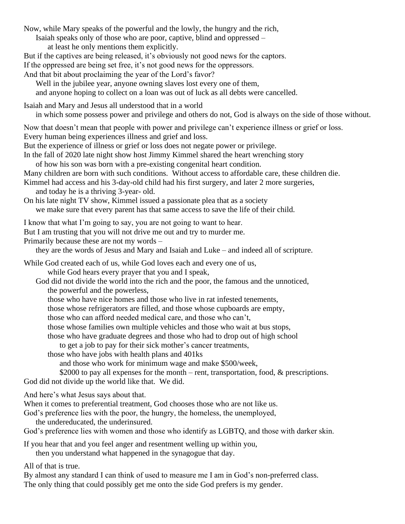Now, while Mary speaks of the powerful and the lowly, the hungry and the rich, Isaiah speaks only of those who are poor, captive, blind and oppressed – at least he only mentions them explicitly. But if the captives are being released, it's obviously not good news for the captors. If the oppressed are being set free, it's not good news for the oppressors. And that bit about proclaiming the year of the Lord's favor? Well in the jubilee year, anyone owning slaves lost every one of them, and anyone hoping to collect on a loan was out of luck as all debts were cancelled. Isaiah and Mary and Jesus all understood that in a world in which some possess power and privilege and others do not, God is always on the side of those without. Now that doesn't mean that people with power and privilege can't experience illness or grief or loss. Every human being experiences illness and grief and loss. But the experience of illness or grief or loss does not negate power or privilege. In the fall of 2020 late night show host Jimmy Kimmel shared the heart wrenching story of how his son was born with a pre-existing congenital heart condition. Many children are born with such conditions. Without access to affordable care, these children die. Kimmel had access and his 3-day-old child had his first surgery, and later 2 more surgeries, and today he is a thriving 3-year- old. On his late night TV show, Kimmel issued a passionate plea that as a society we make sure that every parent has that same access to save the life of their child. I know that what I'm going to say, you are not going to want to hear. But I am trusting that you will not drive me out and try to murder me. Primarily because these are not my words – they are the words of Jesus and Mary and Isaiah and Luke – and indeed all of scripture. While God created each of us, while God loves each and every one of us, while God hears every prayer that you and I speak, God did not divide the world into the rich and the poor, the famous and the unnoticed, the powerful and the powerless, those who have nice homes and those who live in rat infested tenements, those whose refrigerators are filled, and those whose cupboards are empty, those who can afford needed medical care, and those who can't, those whose families own multiple vehicles and those who wait at bus stops, those who have graduate degrees and those who had to drop out of high school to get a job to pay for their sick mother's cancer treatments, those who have jobs with health plans and 401ks and those who work for minimum wage and make \$500/week, \$2000 to pay all expenses for the month – rent, transportation, food, & prescriptions. God did not divide up the world like that. We did. And here's what Jesus says about that. When it comes to preferential treatment, God chooses those who are not like us. God's preference lies with the poor, the hungry, the homeless, the unemployed, the undereducated, the underinsured. God's preference lies with women and those who identify as LGBTQ, and those with darker skin. If you hear that and you feel anger and resentment welling up within you, then you understand what happened in the synagogue that day. All of that is true.

By almost any standard I can think of used to measure me I am in God's non-preferred class. The only thing that could possibly get me onto the side God prefers is my gender.